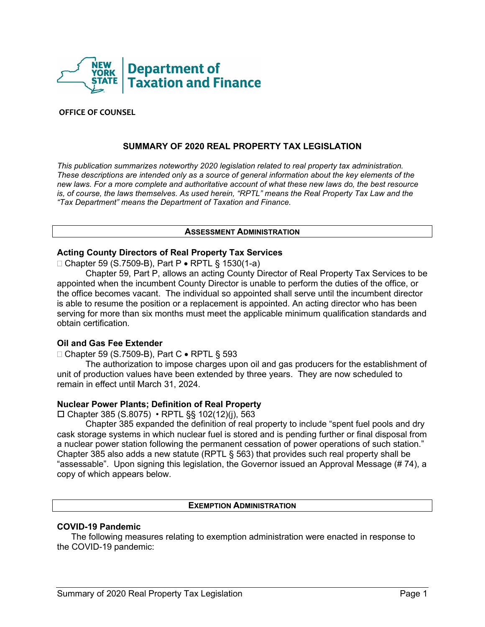

#### **OFFICE OF COUNSEL**

# **SUMMARY OF 2020 REAL PROPERTY TAX LEGISLATION**

*This publication summarizes noteworthy 2020 legislation related to real property tax administration. These descriptions are intended only as a source of general information about the key elements of the new laws. For a more complete and authoritative account of what these new laws do, the best resource is, of course, the laws themselves. As used herein, "RPTL" means the Real Property Tax Law and the "Tax Department" means the Department of Taxation and Finance.*

#### **ASSESSMENT ADMINISTRATION**

#### **Acting County Directors of Real Property Tax Services**

Chapter 59 (S.7509-B), Part P • RPTL § 1530(1-a)

Chapter 59, Part P, allows an acting County Director of Real Property Tax Services to be appointed when the incumbent County Director is unable to perform the duties of the office, or the office becomes vacant. The individual so appointed shall serve until the incumbent director is able to resume the position or a replacement is appointed. An acting director who has been serving for more than six months must meet the applicable minimum qualification standards and obtain certification.

#### **Oil and Gas Fee Extender**

□ Chapter 59 (S.7509-B), Part C • RPTL § 593

The authorization to impose charges upon oil and gas producers for the establishment of unit of production values have been extended by three years. They are now scheduled to remain in effect until March 31, 2024.

#### **Nuclear Power Plants; Definition of Real Property**

Chapter 385 (S.8075) • RPTL §§ 102(12)(j), 563

Chapter 385 expanded the definition of real property to include "spent fuel pools and dry cask storage systems in which nuclear fuel is stored and is pending further or final disposal from a nuclear power station following the permanent cessation of power operations of such station." Chapter 385 also adds a new statute (RPTL § 563) that provides such real property shall be "assessable". Upon signing this legislation, the Governor issued an Approval Message (# 74), a copy of which appears below.

#### **EXEMPTION ADMINISTRATION**

# **COVID-19 Pandemic**

The following measures relating to exemption administration were enacted in response to the COVID-19 pandemic: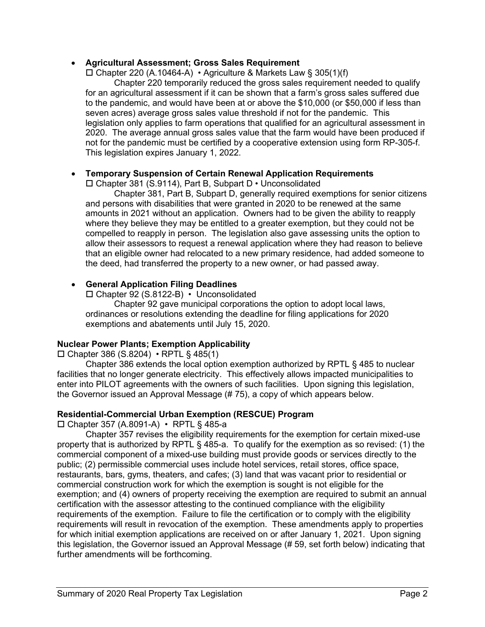# • **Agricultural Assessment; Gross Sales Requirement**

 $\Box$  Chapter 220 (A.10464-A) • Agriculture & Markets Law § 305(1)(f)

Chapter 220 temporarily reduced the gross sales requirement needed to qualify for an agricultural assessment if it can be shown that a farm's gross sales suffered due to the pandemic, and would have been at or above the \$10,000 (or \$50,000 if less than seven acres) average gross sales value threshold if not for the pandemic. This legislation only applies to farm operations that qualified for an agricultural assessment in 2020. The average annual gross sales value that the farm would have been produced if not for the pandemic must be certified by a cooperative extension using form RP-305-f. This legislation expires January 1, 2022.

# • **Temporary Suspension of Certain Renewal Application Requirements**

Chapter 381 (S.9114), Part B, Subpart D • Unconsolidated

Chapter 381, Part B, Subpart D, generally required exemptions for senior citizens and persons with disabilities that were granted in 2020 to be renewed at the same amounts in 2021 without an application. Owners had to be given the ability to reapply where they believe they may be entitled to a greater exemption, but they could not be compelled to reapply in person. The legislation also gave assessing units the option to allow their assessors to request a renewal application where they had reason to believe that an eligible owner had relocated to a new primary residence, had added someone to the deed, had transferred the property to a new owner, or had passed away.

# • **General Application Filing Deadlines**

Chapter 92 (S.8122-B) • Unconsolidated

Chapter 92 gave municipal corporations the option to adopt local laws, ordinances or resolutions extending the deadline for filing applications for 2020 exemptions and abatements until July 15, 2020.

# **Nuclear Power Plants; Exemption Applicability**

 $\Box$  Chapter 386 (S.8204) • RPTL § 485(1)

Chapter 386 extends the local option exemption authorized by RPTL § 485 to nuclear facilities that no longer generate electricity. This effectively allows impacted municipalities to enter into PILOT agreements with the owners of such facilities. Upon signing this legislation, the Governor issued an Approval Message (# 75), a copy of which appears below.

# **Residential-Commercial Urban Exemption (RESCUE) Program**

Chapter 357 (A.8091-A) • RPTL § 485-a

Chapter 357 revises the eligibility requirements for the exemption for certain mixed-use property that is authorized by RPTL § 485-a. To qualify for the exemption as so revised: (1) the commercial component of a mixed-use building must provide goods or services directly to the public; (2) permissible commercial uses include hotel services, retail stores, office space, restaurants, bars, gyms, theaters, and cafes; (3) land that was vacant prior to residential or commercial construction work for which the exemption is sought is not eligible for the exemption; and (4) owners of property receiving the exemption are required to submit an annual certification with the assessor attesting to the continued compliance with the eligibility requirements of the exemption. Failure to file the certification or to comply with the eligibility requirements will result in revocation of the exemption. These amendments apply to properties for which initial exemption applications are received on or after January 1, 2021. Upon signing this legislation, the Governor issued an Approval Message (# 59, set forth below) indicating that further amendments will be forthcoming.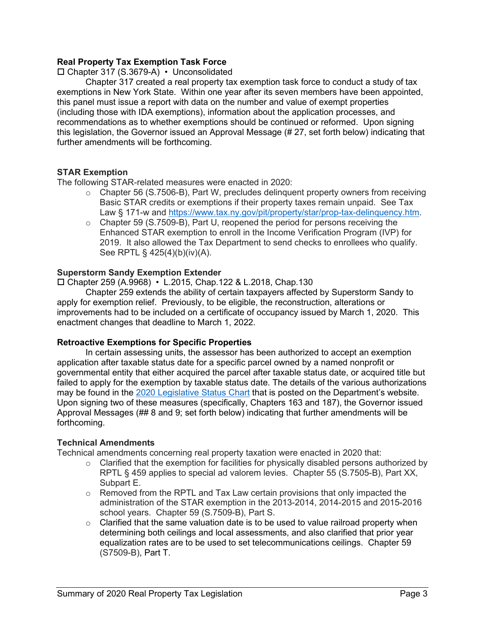# **Real Property Tax Exemption Task Force**

# Chapter 317 (S.3679-A) • Unconsolidated

Chapter 317 created a real property tax exemption task force to conduct a study of tax exemptions in New York State. Within one year after its seven members have been appointed, this panel must issue a report with data on the number and value of exempt properties (including those with IDA exemptions), information about the application processes, and recommendations as to whether exemptions should be continued or reformed. Upon signing this legislation, the Governor issued an Approval Message (# 27, set forth below) indicating that further amendments will be forthcoming.

# **STAR Exemption**

The following STAR-related measures were enacted in 2020:

- o Chapter 56 (S.7506-B), Part W, precludes delinquent property owners from receiving Basic STAR credits or exemptions if their property taxes remain unpaid. See Tax Law § 171-w and [https://www.tax.ny.gov/pit/property/star/prop-tax-delinquency.htm.](https://www.tax.ny.gov/pit/property/star/prop-tax-delinquency.htm)
- o Chapter 59 (S.7509-B), Part U, reopened the period for persons receiving the Enhanced STAR exemption to enroll in the Income Verification Program (IVP) for 2019. It also allowed the Tax Department to send checks to enrollees who qualify. See RPTL § 425(4)(b)(iv)(A).

# **Superstorm Sandy Exemption Extender**

Chapter 259 (A.9968) • L.2015, Chap.122 & L.2018, Chap.130

Chapter 259 extends the ability of certain taxpayers affected by Superstorm Sandy to apply for exemption relief. Previously, to be eligible, the reconstruction, alterations or improvements had to be included on a certificate of occupancy issued by March 1, 2020. This enactment changes that deadline to March 1, 2022.

# **Retroactive Exemptions for Specific Properties**

In certain assessing units, the assessor has been authorized to accept an exemption application after taxable status date for a specific parcel owned by a named nonprofit or governmental entity that either acquired the parcel after taxable status date, or acquired title but failed to apply for the exemption by taxable status date. The details of the various authorizations may be found in the [2020 Legislative Status Chart](https://www.tax.ny.gov/research/property/legal/legis/20bills.htm) that is posted on the Department's website. Upon signing two of these measures (specifically, Chapters 163 and 187), the Governor issued Approval Messages (## 8 and 9; set forth below) indicating that further amendments will be forthcoming.

# **Technical Amendments**

Technical amendments concerning real property taxation were enacted in 2020 that:

- $\circ$  Clarified that the exemption for facilities for physically disabled persons authorized by RPTL § 459 applies to special ad valorem levies. Chapter 55 (S.7505-B), Part XX, Subpart E.
- $\circ$  Removed from the RPTL and Tax Law certain provisions that only impacted the administration of the STAR exemption in the 2013-2014, 2014-2015 and 2015-2016 school years. Chapter 59 (S.7509-B), Part S.
- $\circ$  Clarified that the same valuation date is to be used to value railroad property when determining both ceilings and local assessments, and also clarified that prior year equalization rates are to be used to set telecommunications ceilings. Chapter 59 (S7509-B), Part T.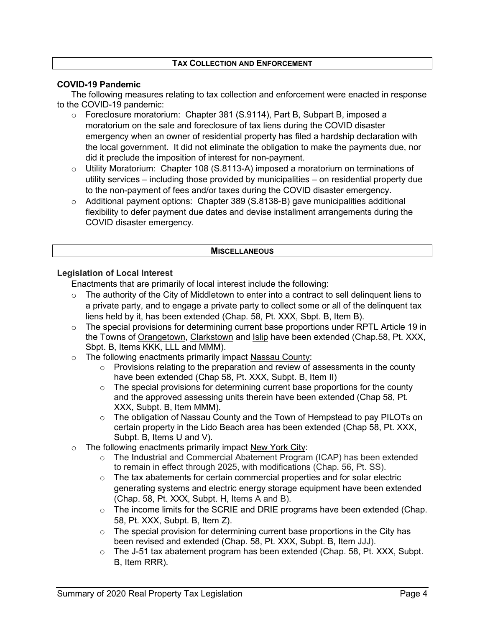# **TAX COLLECTION AND ENFORCEMENT**

# **COVID-19 Pandemic**

The following measures relating to tax collection and enforcement were enacted in response to the COVID-19 pandemic:

- o Foreclosure moratorium: Chapter 381 (S.9114), Part B, Subpart B, imposed a moratorium on the sale and foreclosure of tax liens during the COVID disaster emergency when an owner of residential property has filed a hardship declaration with the local government. It did not eliminate the obligation to make the payments due, nor did it preclude the imposition of interest for non-payment.
- $\circ$  Utility Moratorium: Chapter 108 (S.8113-A) imposed a moratorium on terminations of utility services – including those provided by municipalities – on residential property due to the non-payment of fees and/or taxes during the COVID disaster emergency.
- $\circ$  Additional payment options: Chapter 389 (S.8138-B) gave municipalities additional flexibility to defer payment due dates and devise installment arrangements during the COVID disaster emergency.

#### **MISCELLANEOUS**

# **Legislation of Local Interest**

Enactments that are primarily of local interest include the following:

- $\circ$  The authority of the City of Middletown to enter into a contract to sell delinguent liens to a private party, and to engage a private party to collect some or all of the delinquent tax liens held by it, has been extended (Chap. 58, Pt. XXX, Sbpt. B, Item B).
- o The special provisions for determining current base proportions under RPTL Article 19 in the Towns of Orangetown, Clarkstown and Islip have been extended (Chap.58, Pt. XXX, Sbpt. B, Items KKK, LLL and MMM).
- o The following enactments primarily impact Nassau County:
	- o Provisions relating to the preparation and review of assessments in the county have been extended (Chap 58, Pt. XXX, Subpt. B, Item II)
	- $\circ$  The special provisions for determining current base proportions for the county and the approved assessing units therein have been extended (Chap 58, Pt. XXX, Subpt. B, Item MMM).
	- $\circ$  The obligation of Nassau County and the Town of Hempstead to pay PILOTs on certain property in the Lido Beach area has been extended (Chap 58, Pt. XXX, Subpt. B, Items U and V).
- $\circ$  The following enactments primarily impact New York City:
	- o The Industrial and Commercial Abatement Program (ICAP) has been extended to remain in effect through 2025, with modifications (Chap. 56, Pt. SS).
	- $\circ$  The tax abatements for certain commercial properties and for solar electric generating systems and electric energy storage equipment have been extended (Chap. 58, Pt. XXX, Subpt. H, Items A and B).
	- $\circ$  The income limits for the SCRIE and DRIE programs have been extended (Chap. 58, Pt. XXX, Subpt. B, Item Z).
	- $\circ$  The special provision for determining current base proportions in the City has been revised and extended (Chap. 58, Pt. XXX, Subpt. B, Item JJJ).
	- $\circ$  The J-51 tax abatement program has been extended (Chap. 58, Pt. XXX, Subpt. B, Item RRR).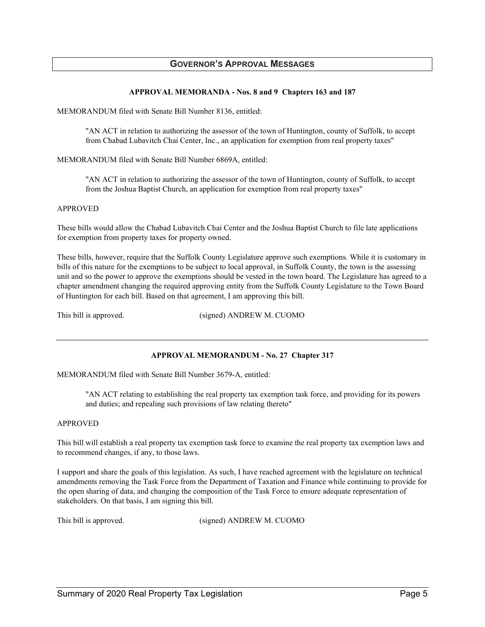#### **GOVERNOR'S APPROVAL MESSAGES**

#### **APPROVAL MEMORANDA - Nos. 8 and 9 Chapters 163 and 187**

MEMORANDUM filed with Senate Bill Number 8136, entitled:

"AN ACT in relation to authorizing the assessor of the town of Huntington, county of Suffolk, to accept from Chabad Lubavitch Chai Center, Inc., an application for exemption from real property taxes"

MEMORANDUM filed with Senate Bill Number 6869A, entitled:

"AN ACT in relation to authorizing the assessor of the town of Huntington, county of Suffolk, to accept from the Joshua Baptist Church, an application for exemption from real property taxes"

#### APPROVED

These bills would allow the Chabad Lubavitch Chai Center and the Joshua Baptist Church to file late applications for exemption from property taxes for property owned.

These bills, however, require that the Suffolk County Legislature approve such exemptions. While it is customary in bills of this nature for the exemptions to be subject to local approval, in Suffolk County, the town is the assessing unit and so the power to approve the exemptions should be vested in the town board. The Legislature has agreed to a chapter amendment changing the required approving entity from the Suffolk County Legislature to the Town Board of Huntington for each bill. Based on that agreement, I am approving this bill.

This bill is approved. (signed) ANDREW M. CUOMO

#### **APPROVAL MEMORANDUM - No. 27 Chapter 317**

MEMORANDUM filed with Senate Bill Number 3679-A, entitled:

"AN ACT relating to establishing the real property tax exemption task force, and providing for its powers and duties; and repealing such provisions of law relating thereto"

#### APPROVED

This bill will establish a real property tax exemption task force to examine the real property tax exemption laws and to recommend changes, if any, to those laws.

I support and share the goals of this legislation. As such, I have reached agreement with the legislature on technical amendments removing the Task Force from the Department of Taxation and Finance while continuing to provide for the open sharing of data, and changing the composition of the Task Force to ensure adequate representation of stakeholders. On that basis, I am signing this bill.

This bill is approved. (signed) ANDREW M. CUOMO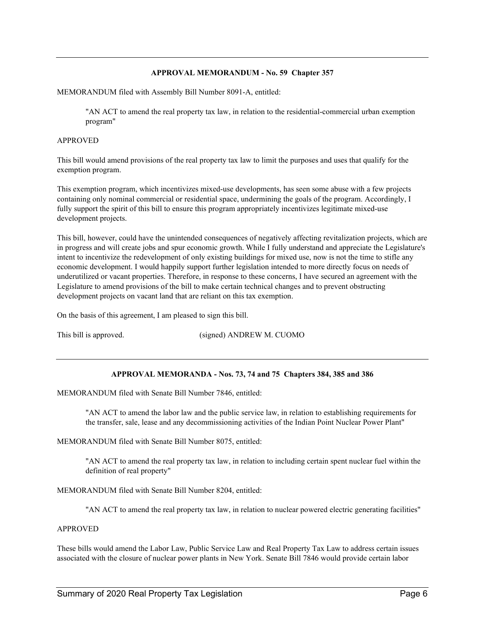#### **APPROVAL MEMORANDUM - No. 59 Chapter 357**

MEMORANDUM filed with Assembly Bill Number 8091-A, entitled:

"AN ACT to amend the real property tax law, in relation to the residential-commercial urban exemption program"

#### APPROVED

This bill would amend provisions of the real property tax law to limit the purposes and uses that qualify for the exemption program.

This exemption program, which incentivizes mixed-use developments, has seen some abuse with a few projects containing only nominal commercial or residential space, undermining the goals of the program. Accordingly, I fully support the spirit of this bill to ensure this program appropriately incentivizes legitimate mixed-use development projects.

This bill, however, could have the unintended consequences of negatively affecting revitalization projects, which are in progress and will create jobs and spur economic growth. While I fully understand and appreciate the Legislature's intent to incentivize the redevelopment of only existing buildings for mixed use, now is not the time to stifle any economic development. I would happily support further legislation intended to more directly focus on needs of underutilized or vacant properties. Therefore, in response to these concerns, I have secured an agreement with the Legislature to amend provisions of the bill to make certain technical changes and to prevent obstructing development projects on vacant land that are reliant on this tax exemption.

On the basis of this agreement, I am pleased to sign this bill.

This bill is approved. (signed) ANDREW M. CUOMO

#### **APPROVAL MEMORANDA - Nos. 73, 74 and 75 Chapters 384, 385 and 386**

MEMORANDUM filed with Senate Bill Number 7846, entitled:

"AN ACT to amend the labor law and the public service law, in relation to establishing requirements for the transfer, sale, lease and any decommissioning activities of the Indian Point Nuclear Power Plant"

MEMORANDUM filed with Senate Bill Number 8075, entitled:

"AN ACT to amend the real property tax law, in relation to including certain spent nuclear fuel within the definition of real property"

MEMORANDUM filed with Senate Bill Number 8204, entitled:

"AN ACT to amend the real property tax law, in relation to nuclear powered electric generating facilities"

#### APPROVED

These bills would amend the Labor Law, Public Service Law and Real Property Tax Law to address certain issues associated with the closure of nuclear power plants in New York. Senate Bill 7846 would provide certain labor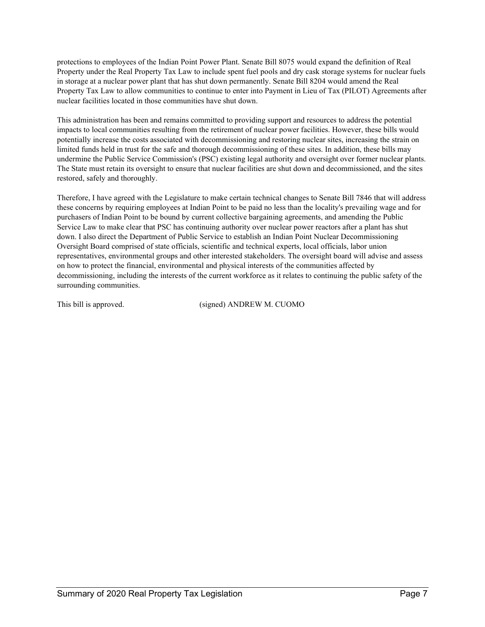protections to employees of the Indian Point Power Plant. Senate Bill 8075 would expand the definition of Real Property under the Real Property Tax Law to include spent fuel pools and dry cask storage systems for nuclear fuels in storage at a nuclear power plant that has shut down permanently. Senate Bill 8204 would amend the Real Property Tax Law to allow communities to continue to enter into Payment in Lieu of Tax (PILOT) Agreements after nuclear facilities located in those communities have shut down.

This administration has been and remains committed to providing support and resources to address the potential impacts to local communities resulting from the retirement of nuclear power facilities. However, these bills would potentially increase the costs associated with decommissioning and restoring nuclear sites, increasing the strain on limited funds held in trust for the safe and thorough decommissioning of these sites. In addition, these bills may undermine the Public Service Commission's (PSC) existing legal authority and oversight over former nuclear plants. The State must retain its oversight to ensure that nuclear facilities are shut down and decommissioned, and the sites restored, safely and thoroughly.

Therefore, I have agreed with the Legislature to make certain technical changes to Senate Bill 7846 that will address these concerns by requiring employees at Indian Point to be paid no less than the locality's prevailing wage and for purchasers of Indian Point to be bound by current collective bargaining agreements, and amending the Public Service Law to make clear that PSC has continuing authority over nuclear power reactors after a plant has shut down. I also direct the Department of Public Service to establish an Indian Point Nuclear Decommissioning Oversight Board comprised of state officials, scientific and technical experts, local officials, labor union representatives, environmental groups and other interested stakeholders. The oversight board will advise and assess on how to protect the financial, environmental and physical interests of the communities affected by decommissioning, including the interests of the current workforce as it relates to continuing the public safety of the surrounding communities.

This bill is approved. (signed) ANDREW M. CUOMO